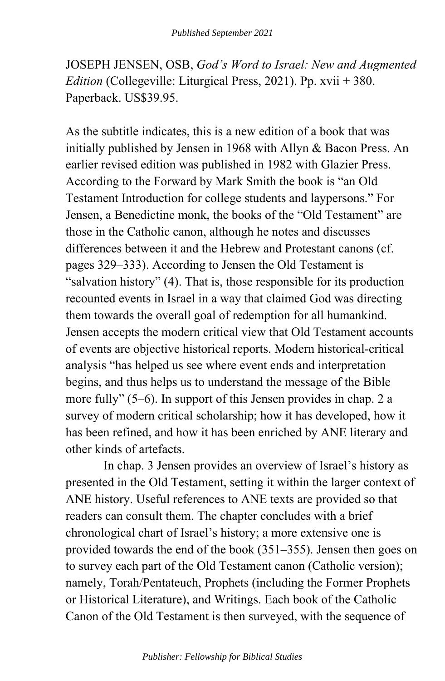JOSEPH JENSEN, OSB, *God's Word to Israel: New and Augmented Edition* (Collegeville: Liturgical Press, 2021). Pp. xvii + 380. Paperback. US\$39.95.

As the subtitle indicates, this is a new edition of a book that was initially published by Jensen in 1968 with Allyn & Bacon Press. An earlier revised edition was published in 1982 with Glazier Press. According to the Forward by Mark Smith the book is "an Old Testament Introduction for college students and laypersons." For Jensen, a Benedictine monk, the books of the "Old Testament" are those in the Catholic canon, although he notes and discusses differences between it and the Hebrew and Protestant canons (cf. pages 329–333). According to Jensen the Old Testament is "salvation history" (4). That is, those responsible for its production recounted events in Israel in a way that claimed God was directing them towards the overall goal of redemption for all humankind. Jensen accepts the modern critical view that Old Testament accounts of events are objective historical reports. Modern historical-critical analysis "has helped us see where event ends and interpretation begins, and thus helps us to understand the message of the Bible more fully" (5–6). In support of this Jensen provides in chap. 2 a survey of modern critical scholarship; how it has developed, how it has been refined, and how it has been enriched by ANE literary and other kinds of artefacts.

In chap. 3 Jensen provides an overview of Israel's history as presented in the Old Testament, setting it within the larger context of ANE history. Useful references to ANE texts are provided so that readers can consult them. The chapter concludes with a brief chronological chart of Israel's history; a more extensive one is provided towards the end of the book (351–355). Jensen then goes on to survey each part of the Old Testament canon (Catholic version); namely, Torah/Pentateuch, Prophets (including the Former Prophets or Historical Literature), and Writings. Each book of the Catholic Canon of the Old Testament is then surveyed, with the sequence of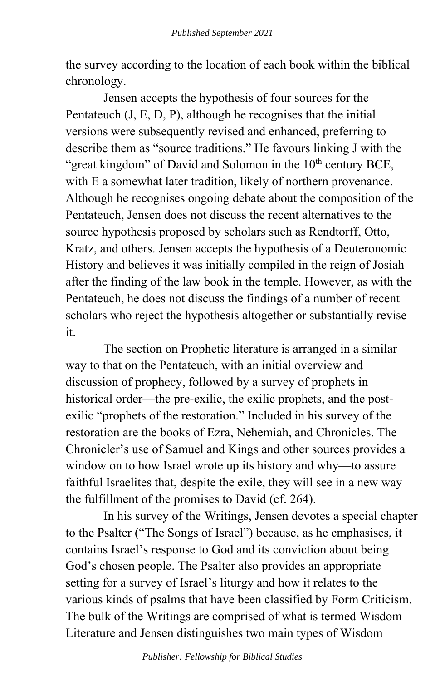the survey according to the location of each book within the biblical chronology.

Jensen accepts the hypothesis of four sources for the Pentateuch (J, E, D, P), although he recognises that the initial versions were subsequently revised and enhanced, preferring to describe them as "source traditions." He favours linking J with the "great kingdom" of David and Solomon in the  $10<sup>th</sup>$  century BCE, with E a somewhat later tradition, likely of northern provenance. Although he recognises ongoing debate about the composition of the Pentateuch, Jensen does not discuss the recent alternatives to the source hypothesis proposed by scholars such as Rendtorff, Otto, Kratz, and others. Jensen accepts the hypothesis of a Deuteronomic History and believes it was initially compiled in the reign of Josiah after the finding of the law book in the temple. However, as with the Pentateuch, he does not discuss the findings of a number of recent scholars who reject the hypothesis altogether or substantially revise it.

The section on Prophetic literature is arranged in a similar way to that on the Pentateuch, with an initial overview and discussion of prophecy, followed by a survey of prophets in historical order—the pre-exilic, the exilic prophets, and the postexilic "prophets of the restoration." Included in his survey of the restoration are the books of Ezra, Nehemiah, and Chronicles. The Chronicler's use of Samuel and Kings and other sources provides a window on to how Israel wrote up its history and why—to assure faithful Israelites that, despite the exile, they will see in a new way the fulfillment of the promises to David (cf. 264).

In his survey of the Writings, Jensen devotes a special chapter to the Psalter ("The Songs of Israel") because, as he emphasises, it contains Israel's response to God and its conviction about being God's chosen people. The Psalter also provides an appropriate setting for a survey of Israel's liturgy and how it relates to the various kinds of psalms that have been classified by Form Criticism. The bulk of the Writings are comprised of what is termed Wisdom Literature and Jensen distinguishes two main types of Wisdom